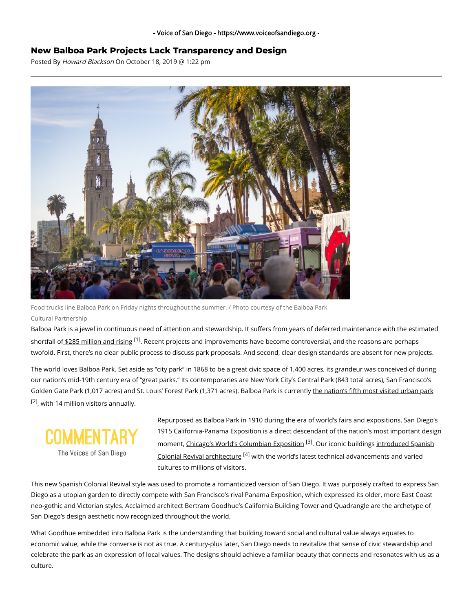## **New Balboa Park Projects Lack Transparency and Design**

Posted By Howard Blackson On October 18, 2019 @ 1:22 pm



Food trucks line Balboa Park on Friday nights throughout the summer. / Photo courtesy of the Balboa Park Cultural Partnership

Balboa Park is a jewel in continuous need of attention and stewardship. It suffers from years of deferred maintenance with the estimated shortfall of <u>\$285 million and rising</u> <sup>[1]</sup>. Recent projects and improvements have become controversial, and the reasons are perhaps twofold. First, there's no clear public process to discuss park proposals. And second, clear design standards are absent for new projects.

The world loves Balboa Park. Set aside as "city park" in 1868 to be a great civic space of 1,400 acres, its grandeur was conceived of during our nation's mid-19th century era of "great parks." Its contemporaries are New York City's Central Park (843 total acres), San Francisco's Golden Gate Park (1,017 acres) and St. Louis' Forest Park (1,371 acres). Balboa Park is currently the nation's fifth most visited urban park <sup>[2]</sup>, with 14 million visitors annually.



Repurposed as Balboa Park in 1910 during the era of world's fairs and expositions, San Diego's 1915 California-Panama Exposition is a direct descendant of the nation's most important design moment, <u>Chicago's World's Columbian Exposition</u> <sup>[3]</sup>. Our iconic buildings <u>introduced Spanish</u> Colonial Revival architecture <sup>[4]</sup> [with the world's latest technical advancements and varied](https://pancalarchive.org/) cultures to millions of visitors.

This new Spanish Colonial Revival style was used to promote a romanticized version of San Diego. It was purposely crafted to express San Diego as a utopian garden to directly compete with San Francisco's rival Panama Exposition, which expressed its older, more East Coast neo-gothic and Victorian styles. Acclaimed architect Bertram Goodhue's California Building Tower and Quadrangle are the archetype of San Diego's design aesthetic now recognized throughout the world.

What Goodhue embedded into Balboa Park is the understanding that building toward social and cultural value always equates to economic value, while the converse is not as true. A century-plus later, San Diego needs to revitalize that sense of civic stewardship and celebrate the park as an expression of local values. The designs should achieve a familiar beauty that connects and resonates with us as a culture.